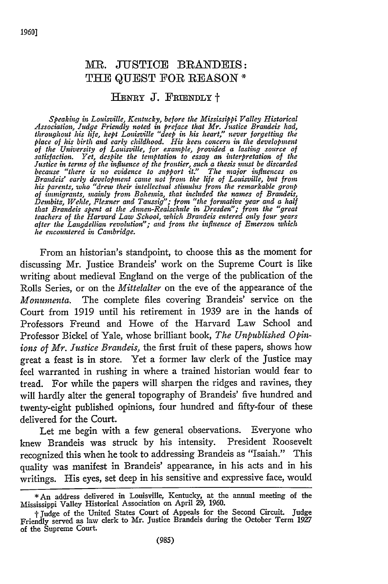## MR. **JUSTICE** BRANDEIS: THE **QUEST** FOR **REASON \***

## HENRY **J. FRIENDLY** <sup>+</sup>

*Speaking in Louisville, Kentucky, before the Mississippi Valley Historical Association, Judge Friendly noted in preface that Mr. Justice Brandeis had, throughout his life, kept Louisville "deep in his heart," never forgetting the place of his birth and early childhood. His keen concern in the development of the University of Louisville, for example, provided a lasting source of satisfaction. Yet, despite the temptation to essay an interpretation of the Justice in terms of the influence of the frontier, such a thesis must be discarded because "there is no evidence to support it." The major influences on Brandeis' early development came not from the life of Louisville, but from his parents, who "drew their intellectual stimulus from the remarkable group of inmigrants, mainly from Bohemia, that included the names of Brandeis, Dembitz, Wehle, Flexnter and Taussig"; from "the formative year and a half that Brandeis spent at the Annen-Realschule in Dresden!"; from the "great teachers of the Harvard Law School, which Brandeis entered only four years after the Langdellian revolution"; and from the influence of Emerson which he encountered in Cambridge.*

From an historian's standpoint, to choose this as the moment for discussing Mr. Justice Brandeis' work on the Supreme Court is like writing about medieval England on the verge of the publication of the Rolls Series, or on the *Mittelalter* on the eve of the appearance of the *Monumenta.* The complete files covering Brandeis' service on the Court from 1919 until his retirement in 1939 are in the hands of Professors Freund and Howe of the Harvard Law School and Professor Bickel of Yale, whose brilliant book, *The Unpublished Opinions of Mr. Justice Brandeis,* the first fruit of these papers, shows how great a feast is in store. Yet a former law clerk of the Justice may feel warranted in rushing in where a trained historian would fear to tread. For while the papers will sharpen the ridges and ravines, they will hardly alter the general topography of Brandeis' five hundred and twenty-eight published opinions, four hundred and fifty-four of these delivered for the Court.

Let me begin with a few general observations. Everyone who knew Brandeis was struck by his intensity. President Roosevelt recognized this when he took to addressing Brandeis as "Isaiah." This quality was manifest in Brandeis' appearance, in his acts and in his writings. His eyes, set deep in his sensitive and expressive face, would

**<sup>\*</sup>** An address delivered in Louisville, Kentucky, at the annual meeting of the Mississippi Valley Historical Association on April 29, 1960.

**<sup>-</sup>L** Judge of the United States Court of Appeals for the Second Circuit. judge Friendly served as law clerk to Mr. Justice Brandeis during the October Term 1927 of the Supreme Court.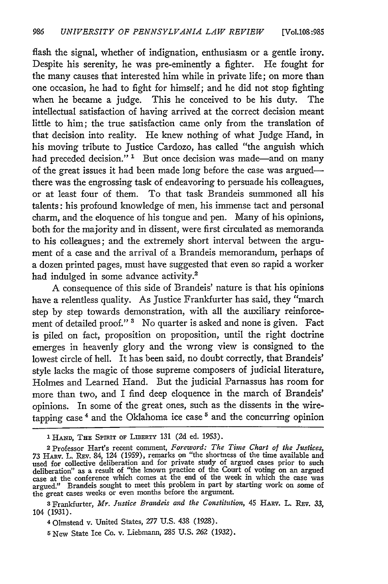flash the signal, whether of indignation, enthusiasm or a gentle irony. Despite his serenity, he was pre-eminently a fighter. He fought for the many causes that interested him while in private life; on more than one occasion, he had to fight for himself; and he did not stop fighting when he became a judge. This he conceived to be his duty. The intellectual satisfaction of having arrived at the correct decision meant little to him; the true satisfaction came only from the translation of that decision into reality. He knew nothing of what Judge Hand, in his moving tribute to Justice Cardozo, has called "the anguish which had preceded decision."<sup>1</sup> But once decision was made-and on many of the great issues it had been made long before the case was argnedthere was the engrossing task of endeavoring to persuade his colleagues, or at least four of them. To that task Brandeis summoned all his talents: his profound knowledge of men, his immense tact and personal charm, and the eloquence of his tongue and pen. Many of his opinions, both for the majority and in dissent, were first circulated as memoranda to his colleagues; and the extremely short interval between the argument of a case and the arrival of a Brandeis memorandum, perhaps of a dozen printed pages, must have suggested that even so rapid a worker had indulged in some advance activity.<sup>2</sup>

A consequence of this side of Brandeis' nature is that his opinions have a relentless quality. As Justice Frankfurter has said, they "march step by step towards demonstration, with all the auxiliary reinforcement of detailed proof."<sup>3</sup> No quarter is asked and none is given. Fact is piled on fact, proposition on proposition, until the right doctrine emerges in heavenly glory and the wrong view is consigned to the lowest circle of hell. It has been said, no doubt correctly, that Brandeis' style lacks the magic of those supreme composers of judicial literature, Holmes and Learned Hand. But the judicial Parnassus has room for more than two, and I find deep eloquence in the march of Brandeis' opinions. In some of the great ones, such as the dissents in the wiretapping case<sup> $4$ </sup> and the Oklahoma ice case<sup> $5$ </sup> and the concurring opinion

**3** Frandurter, *Mr. Justice Brandeis and the Constitution,* 45 **HARV.** L. REv. 33, 104 (1931).

<sup>1</sup> HAND, THE SPIRIT OF LIBERTY 131 (2d ed. 1953).

<sup>2</sup> Professor Hart's recent comment, *Foreword: The Time Chart of the Justices,* 73 HARV. L. REV. 84, 124 (1959), remarks on "the shortness of the time available and used for collective deliberation and for private study of argued cases prior to such deliberation" as a result of "the known practice of the Court of voting on an argued case at the conference which comes at the end of the week in which the case was argued." Brandeis sought to meet this problem in part **by** starting work on some of the great cases weeks or even months before the argument.

<sup>40</sup>lmstead v. United States, *277* U.S. 438 (1928).

**<sup>5</sup>** New State Ice Co. v. Liebmann, 285 U.S. 262 (1932).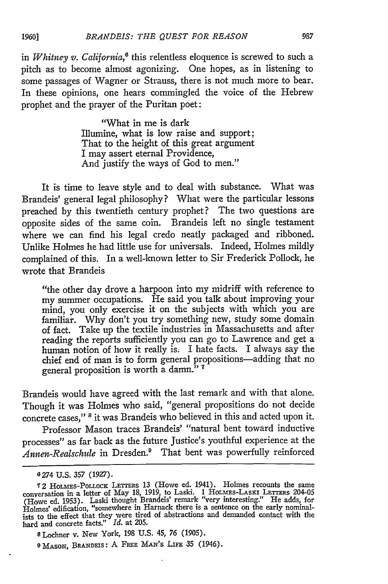in *Whitney v. California*,<sup>6</sup> this relentless eloquence is screwed to such a pitch as to become almost agonizing. One hopes, as in listening to some passages of Wagner or Strauss, there is not much more to bear. In these opinions, one hears commingled the voice of the Hebrew prophet and the prayer of the Puritan poet:

> "What in me is dark Illumine, what is low raise and support; That to the height of this great argument I may assert eternal Providence, And justify the ways of God to men."

It is time to leave style and to deal with substance. What was Brandeis' general legal philosophy? What were the particular lessons preached by this twentieth century prophet? The two questions are opposite sides of the same coin. Brandeis left no single testament where we can find his legal credo neatly packaged and ribboned. Unlike Holmes he had little use for universals. Indeed, Holmes mildly complained of this. In a well-known letter to Sir Frederick Pollock, he wrote that Brandeis

"the other day drove a harpoon into my midriff with reference to my summer occupations. He said you talk about improving your mind, you only exercise it on the subjects with which you are familiar. Why don't you try something new, study some domain of fact. Take up the textile industries in Massachusetts and after reading the reports sufficiently you can go to Lawrence and get a human notion of how it really is. I hate facts. I always say the chief end of man is to form general propositions-adding that no general proposition is worth a damn." **'**

Brandeis would have agreed with the last remark and with that alone. Though it was Holmes who said, "general propositions do not decide concrete cases," **8** it was Brandeis who believed in this and acted upon it.

Professor Mason traces Brandeis' "natural bent toward inductive processes" as far back as the future Justice's youthful experience at the *Annen-Realschule* in Dresden.9 That bent was powerfully reinforced

**<sup>6</sup> 274** U.S. **357** (1927).

**<sup>7</sup>**2 HOLmEs-POLLOCK LETTERS 13 (Howe ed. 1941). Holmes recounts the same conversation in a letter of May 18, 1919, to Laski. 1 HOLMEs-LAsxI LETTERS 204-05 (Howe ed. 1953). Laski thought Brandeis' remark "very interesting." He adds, for Holmes' edification, "somewhere in Harnack there is a sentence on the early nominal-ists to the effect that they were tired of abstractions and demanded contact with the hard and concrete facts." *Id.* at 205.

**s** Lochner v. New York, **198 U.S.** 45, **76 (1905).**

**<sup>9</sup>** MASON, BRANDEIS: **A** FRE MAN'S LIFE **35** (1946).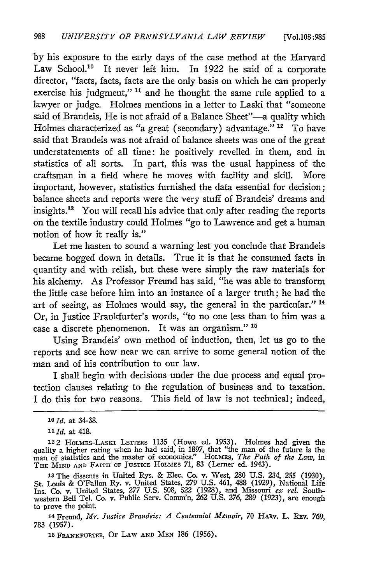by his exposure to the early days of the case method at the Harvard Law School.<sup>10</sup> It never left him. In 1922 he said of a corporate director, "facts, facts, facts are the only basis on which he can properly exercise his judgment,"<sup>11</sup> and he thought the same rule applied to a lawyer or judge. Holmes mentions in a letter to Laski that "someone said of Brandeis, He is not afraid of a Balance Sheet"-a quality which Holmes characterized as "a great (secondary) advantage." **'"** To have said that Brandeis was not afraid of balance sheets was one of the great understatements of all time: he positively revelled in them, and in statistics of all sorts. In part, this was the usual happiness of the craftsman in a field where he moves with facility and skill. More important, however, statistics furnished the data essential for decision; balance sheets and reports were the very stuff of Brandeis' dreams and insights.13 You will recall his advice that only after reading the reports on the textile industry could Holmes "go to Lawrence and get a human notion of how it really is."

Let me hasten to sound a warning lest you conclude that Brandeis became bogged down in details. True it is that he consumed facts in quantity and with relish, but these were simply the raw materials for his alchemy. As Professor Freund has said, "he was able to transform the little case before him into an instance of a larger truth; he had the art of seeing, as Holmes would say, the general in the particular." **1"** Or, in Justice Frankfurter's words, "to no one less than to him was a case a discrete phenomenon. It was an organism." **"5**

Using Brandeis' own method of induction, then, let us go to the reports and see how near we can arrive to some general notion of the man and of his contribution to our law.

I shall begin with decisions under the due process and equal protection clauses relating to the regulation of business and to taxation. I do this for two reasons. This field of law is not technical; indeed,

14 Freund, *Mr. Justice Brandeis: A Centennial Memoir*, 70 HARV. L. REV. 769, 783 (1957).

**15** FRANKFURTER, OF LAW **AND MEN** 186 **(1956).**

*<sup>1</sup>l Id.* at 34-38.

*<sup>11</sup>Id.* at 418.

<sup>122</sup> HOLMES-LASKI LETTERS 1135 (Howe ed. 1953). Holmes had given the quality a higher rating when he had said, in 1897, that "the man of the future is the man of statistics and the master of economics." **HOLMES,** *The Path of the Law, in* THE MIND AND FAITH OF JUSTICE HOLMES 71, 83 (Lerner ed. 1943)

**<sup>13</sup>**The dissents in United Rys. **&** Elec. Co. v. West, **280 U.S.** 234, **255 (1930),** St. Louis & O'Fallon Ry. v. United States, *279* U.S. 461, 488 **(1929),** National Life Ins. Co. v. United States, *277* U.S. 508, 522 **(1928),** and Missouri *ex rel.* Southwestern Bell Tel. Co. v. Public Serv. Comm'n, 262 U.S. 276, 289 (1923), are enough to prove the point.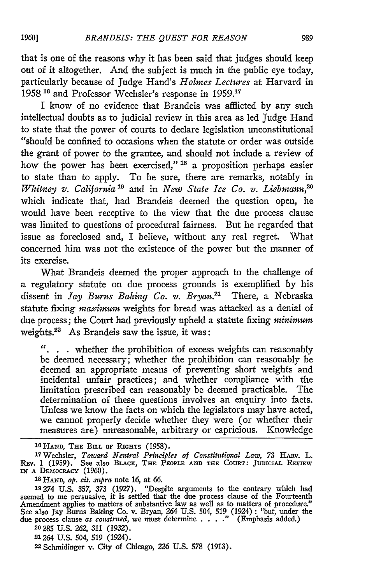that is one of the reasons why it has been said that judges should keep out of it altogether. And the subject is much in the public eye today, particularly because of Judge Hand's *Holmes Lectures* at Harvard in 1958<sup>16</sup> and Professor Wechsler's response in 1959.<sup>17</sup>

I know of no evidence that Brandeis was afflicted by any such intellectual doubts as to judicial review in this area as led Judge Hand to state that the power of courts to declare legislation unconstitutional "should be confined to occasions when the statute or order was outside the grant of power to the grantee, and should not include a review of how the power has been exercised," **Is** a proposition perhaps easier to state than to apply. To be sure, there are remarks, notably in *Whitney v. California*<sup>19</sup> and in *New State Ice Co. v. Liebmann*<sup>20</sup> which indicate that, had Brandeis deemed the question open, he would have been receptive to the view that the due process clause was limited to questions of procedural fairness. But he regarded that issue as foreclosed and, I believe, without any real regret. What concerned him was not the existence of the power but the manner of its exercise.

What Brandeis deemed the proper approach to the challenge of a regulatory statute on due process grounds is exemplified by his dissent in *Jay Burns Baking Co. v. Bryan.2'* There, a Nebraska statute fixing *maximum* weights for bread was attacked as a denial of due process; the Court had previously upheld a statute fixing *minimum* weights.<sup>22</sup> As Brandeis saw the issue, it was:

". . . whether the prohibition of excess weights can reasonably be deemed necessary; whether the prohibition can reasonably be deemed an appropriate means of preventing short weights and incidental unfair practices; and whether compliance with the limitation prescribed can reasonably be deemed practicable. The determination of these questions involves an enquiry into facts. Unless we know the facts on which the legislators may have acted, we cannot properly decide whether they were (or whether their measures are) unreasonable, arbitrary or capricious. Knowledge

**16 HAND, THE BILL** OF **RIGHTS** (1958). <sup>1</sup> <sup>7</sup> Wechsler, *Toward Neutral Principles of Constitutional Law,* **73** HARV. L. **REv. 1 (1959). See** also **BLACK, THE** PEOPLE **AND THE COURT:** JUDICIAL **REVIEw IN A DEMOCRACY (1960).**

**Is HAND,** *op. cit. supra* note 16, **at** *66.*

**19274** U.S. 357, 373 (1927). "Despite arguments to the contrary which had seemed to me persuasive, it **is** settled that the due **process** clause **of** the Fourteenth Amendment applies to matters of substantive law as well as to matters **of** procedure." See also Jay **Burns Baking Co.** v. Bryan, 264 **U.S.** 504, **519** (1924) **:** "but, **under the** due process clause *as construed*, we must determine . . . ." (Emphasis added.)

**20285** U.S. **262,** 311 (1932).

**<sup>21264</sup>**U.S. 504, 519 (1924). <sup>2</sup> <sup>2</sup> Schmidinger v. City of Chicago, *226* U.S. 578 (1913).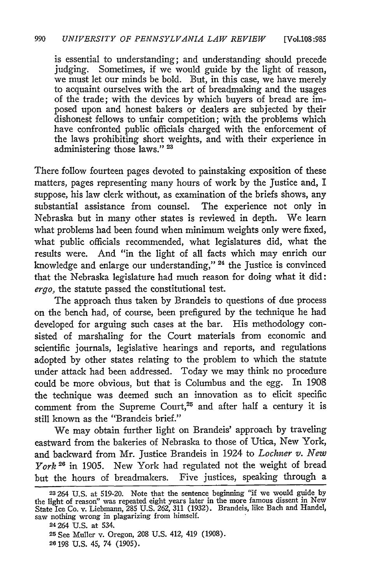is essential to understanding; and understanding should precede judging. Sometimes, if we would guide by the light of reason, we must let our minds be bold. But, in this case, we have merely to acquaint ourselves with the art of breadmaking and the usages of the trade; with the devices by which buyers of bread are imposed upon and honest bakers or dealers are subjected by their dishonest fellows to unfair competition; with the problems which have confronted public officials charged with the enforcement of the laws prohibiting short weights, and with their experience in administering those laws." **23**

There follow fourteen pages devoted to painstaking exposition of these matters, pages representing many hours of work by the Justice and, I suppose, his law clerk without, as examination of the briefs shows, any substantial assistance from counsel. The experience not only in Nebraska but in many other states is reviewed in depth. We learn what problems had been found when minimum weights only were fixed, what public officials recommended, what legislatures did, what the results were. And "in the light of all facts which may enrich our knowledge and enlarge our understanding," **24** the Justice is convinced that the Nebraska legislature had much reason for doing what it did: *ergo,* the statute passed the constitutional test.

The approach thus taken by Brandeis to questions of due process on the bench had, of course, been prefigured by the technique he had developed for arguing such cases at the bar. His methodology consisted of marshaling for the Court materials from economic and scientific journals, legislative hearings and reports, and regulations adopted by other states relating to the problem to which the statute under attack had been addressed. Today we may think no procedure could be more obvious, but that is Columbus and the egg. In 1908 the technique was deemed such an innovation as to elicit specific comment from the Supreme Court, $25$  and after half a century it is still known as the "Brandeis brief."

We may obtain further light on Brandeis' approach by traveling eastward from the bakeries of Nebraska to those of Utica, New York, and backward from Mr. Justice Brandeis in 1924 to *Lochner v. New York <sup>2</sup> <sup>6</sup>*in 1905. New York had regulated not the weight of bread but the hours of breadmakers. Five justices, speaking through a

**<sup>23264</sup>** U.S. at 519-20. Note that the sentence beginning "if we would guide **by** the light of reason" was repeated eight years later in the more famous dissent in New State Ice Co. v. Liebmann, 285 U.S. 262, 311 (1932). Brandeis, like Bach and Handel, saw nothing wrong in plagarizing from himself.

<sup>24 264</sup> U.S. at 534.

**<sup>25</sup>**See Muller v. Oregon, 208 U.S. 412, 419 (1908). 26 198 U.S. 45, 74 (1905).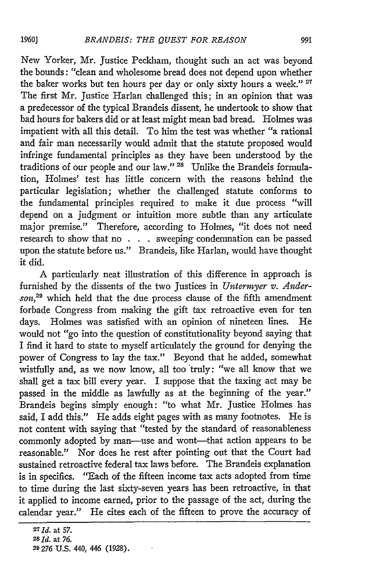New Yorker, Mr. Justice Peckham, thought such an act was beyond the bounds: "clean and wholesome bread does not depend upon whether the baker works but ten hours per day or only sixty hours a week." **<sup>27</sup>** The first Mr. Justice Harlan challenged this; in an opinion that was a predecessor of the typical Brandeis dissent, he undertook to show that bad hours for bakers did or at least might mean bad bread. Holmes was impatient with all this detail. To him the test was whether "a rational and fair man necessarily would admit that the statute proposed would infringe fundamental principles as they have been understood by the traditions of our people and our law." **28** Unlike the Brandeis formulation, Holmes' test has little concern with the reasons behind the particular legislation; whether the challenged statute conforms to the fundamental principles required to make it due process "will depend on a judgment or intuition more subtle than any articulate major premise." Therefore, according to Holmes, "it does not need research to show that no . **.** . sweeping condemnation can be passed upon the statute before us." Brandeis, like Harlan, would have thought it did.

A particularly neat illustration of this difference in approach is furnished by the dissents of the two Justices in *Untermyer v. Anderson,<sup>29</sup>*which held that the due process clause of the fifth amendment forbade Congress from making the gift tax retroactive even for ten days. Holmes was satisfied with an opinion of nineteen lines. He would not "go into the question of constitutionality beyond saying that I find it hard to state to myself articulately the ground for denying the power of Congress to lay the tax." Beyond that he added, somewhat wistfully and, as we now know, all too truly: "we all know that we shall get a tax bill every year. I suppose that the taxing act may be passed in the middle as lawfully as at the beginning of the year." Brandeis begins simply enough: "to what Mr. Justice Holmes has said, I add this." He adds eight pages with as many footnotes. He is not content with saying that "tested by the standard of reasonableness commonly adopted by man-use and wont-that action appears to be reasonable." Nor does he rest after pointing out that the Court had sustained retroactive federal tax laws before. The Brandeis explanation is in specifics. "Each of the fifteen income tax acts adopted from time to time during the last sixty-seven years has been retroactive, in that it applied to income earned, prior to the passage of the act, during the calendar year." He cites each of the fifteen to prove the accuracy of

*<sup>27</sup>* **Id.** at *57.*

**<sup>28</sup>** Id. at *76.*

**<sup>29 276</sup> U.S.** 440, 446 **(1928).**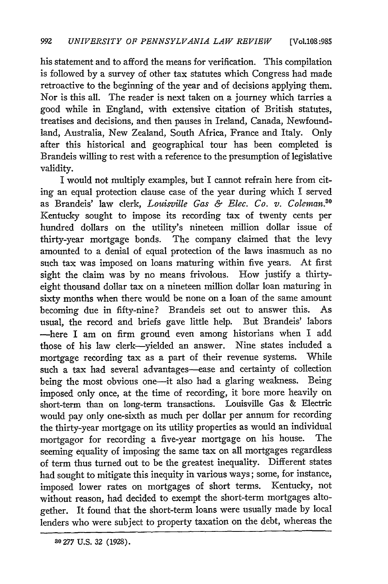his statement and to afford the means for verification. This compilation is followed by a survey of other tax statutes which Congress had made retroactive to the beginning of the year and of decisions applying them. Nor is this all. The reader is next taken on a journey which tarries a good while in England, with extensive citation of British statutes, treatises and decisions, and then pauses in Ireland, Canada, Newfoundland, Australia, New Zealand, South Africa, France and Italy. Only after this historical and geographical tour has been completed is Brandeis willing to rest with a reference to the presumption of legislative validity.

I would not multiply examples, but I cannot refrain here from citing an equal protection clause case of the year during which I served as Brandeis' law clerk, *Louisville Gas & Elec. Co. v. Coleman.30* Kentucky sought to impose its recording tax of twenty cents per hundred dollars on the utility's nineteen million dollar issue of thirty-year mortgage bonds. The company claimed that the levy amounted to a denial of equal protection of the laws inasmuch as no such tax was imposed on loans maturing within five years. At first sight the claim was by no means frivolous. How justify a thirtyeight thousand dollar tax on a nineteen million dollar loan maturing in sixty months when there would be none on a loan of the same amount becoming due in fifty-nine? Brandeis set out to answer this. As usual, the record and briefs gave little help. But Brandeis' labors -here I am on firm ground even among historians when I add those of his law clerk-yielded an answer. Nine states included a mortgage recording tax as a part of their revenue systems. While such a tax had several advantages-ease and certainty of collection being the most obvious one-it also had a glaring weakness. Being imposed only once, at the time of recording, it bore more heavily on short-term than on long-term transactions. Louisville Gas & Electric would pay only one-sixth as much per dollar per annum for recording the thirty-year mortgage on its utility properties as would an individual mortgagor for recording a five-year mortgage on his house. The seeming equality of imposing the same tax on all mortgages regardless of term thus turned out to be the greatest inequality. Different states had sought to mitigate this inequity in various ways; some, for instance, imposed lower rates on mortgages of short terms. Kentucky, not without reason, had decided to exempt the short-term mortgages altogether. It found that the short-term loans were usually made by local lenders who were subject to property taxation on the debt, whereas the

**30 277 U.S. 32 (1928).**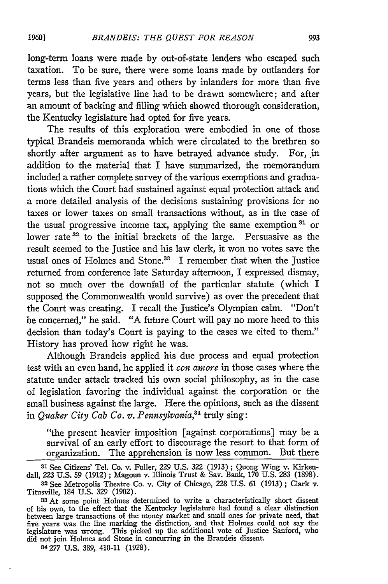long-term loans were made by out-of-state lenders who escaped such taxation. To be sure, there were some loans made by outlanders for terms less than five years and others by inlanders for more than five years, but the legislative line had to be drawn somewhere; and after an amount of backing and filling which showed thorough consideration, the Kentucky legislature had opted for five years.

The results of this exploration were embodied in one of those typical Brandeis memoranda which were circulated to the brethren so shortly after argument as to have betrayed advance study. For, in addition to the material that I have summarized, the memorandum included a rather complete survey of the various exemptions and graduations which the Court had sustained against equal protection attack and a more detailed analysis of the decisions sustaining provisions for no taxes or lower taxes on small transactions without, as in the case of the usual progressive income tax, applying the same exemption **<sup>3</sup> <sup>1</sup>**or lower rate<sup>32</sup> to the initial brackets of the large. Persuasive as the result seemed to the Justice and his law clerk, it won no votes save the usual ones of Holmes and Stone.<sup>33</sup> I remember that when the Justice returned from conference late Saturday afternoon, I expressed dismay, not so much over the downfall of the particular statute (which I supposed the Commonwealth would survive) as over the precedent that the Court was creating. I recall the Justice's Olympian calm. "Don't be concerned," he said. "A future Court will pay no more heed to this decision than today's Court is paying to the cases we cited to them." History has proved how right he was.

Although Brandeis applied his due process and equal protection test with an even hand, he applied it *con amore* in those cases where the statute under attack tracked his own social philosophy, as in the case of legislation favoring the individual against the corporation or the small business against the large. Here the opinions, such as the dissent in *Quaker City Cab Co. v. Pennsylvania,<sup>4</sup>*truly sing:

"the present heavier imposition [against corporations] may be a survival of an early effort to discourage the resort to that form of organization. The apprehension is now less common. But there

<sup>34</sup>277 U.S. 389, 410-11 (1928).

**<sup>31</sup>** See Citizens' Tel. Co. v. Fuller, 229 U.S. 322 (1913) ; Quong Wing v. Kirkendall, **223** U.S. 59 (1912) ; Magoun v. Illinois Trust & Say. Bank, 170 U.S. 283 (1898).

**<sup>32</sup>** See Metropolis Theatre Co. v. City of Chicago, 228 U.S. 61 (1913) ; Clark v. Titusville, 184 U.S. 329 (1902).

**<sup>33</sup>** At some point Holmes determined to write a characteristically short dissent of his own, to the effect that the Kentucky legislature had found a clear distinction between large transactions of the money market and small ones for private need, that five years was the line marking the distinction, and that Holmes could not say the legislature was wrong. This picked up the additional vote of Justice Sanford, who did not join Holmes and Stone in concurring in the Brandeis dissent.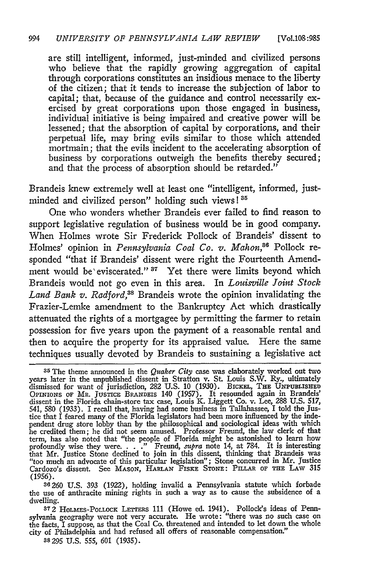are still intelligent, informed, just-minded and civilized persons who believe that the rapidly growing aggregation of capital through corporations constitutes an insidious menace to the liberty of the citizen; that it tends to increase the subjection of labor to capital; that, because of the guidance and control necessarily exercised **by** great corporations upon those engaged in business, individual initiative is being impaired and creative power will be lessened; that the absorption of capital **by** corporations, and their perpetual life, may bring evils similar to those which attended mortmain; that the evils incident to the accelerating absorption of business **by** corporations outweigh the benefits thereby secured; and that the process of absorption should be retarded."

Brandeis knew extremely well at least one "intelligent, informed, justminded and civilized person" holding such views! **"**

One who wonders whether Brandeis ever failed to find reason to support legislative regulation of business would be in good company. When Holmes wrote Sir Frederick Pollock of Brandeis' dissent to Holmes' opinion in *Pennsylvania Coal Co. v. Mahon*,<sup>36</sup> Pollock responded "that if Brandeis' dissent were right the Fourteenth Amendment would be eviscerated." <sup>37</sup> Yet there were limits beyond which Brandeis would not go even in this area. In *Louisville Joint Stock Land Bank v. Radford,3 <sup>8</sup>*Brandeis wrote the opinion invalidating the Frazier-Lemke amendment to the Bankruptcy Act which drastically attenuated the rights of a mortgagee **by** permitting the farmer to retain possession for five years upon the payment of a reasonable rental and then to acquire the property for its appraised value. Here the same techniques usually devoted **by** Brandeis to sustaining a legislative act

**<sup>35</sup>**The theme announced in the *Quaker City* case was elaborately worked out two years later in the unpublished dissent in Stratton v. St. Louis S.W. Ry., ultimately dismissed for want of jurisdiction, **282 U.S. 10 (1930). BxcKEL,** THE **UNmuLIsHE** OPINIONS OF MR. JusTicE BRANDEIS 140 **(1957).** It resounded again in Brandeis' dissent in the Florida chain-store tax case, Louis **K.** Liggett Co. v. Lee, **288 U.S. 517,** 541, **580 (1933). I** recall that, having had some business in Tallahassee, I told the Justice that I feared many of the Florida legislators had been more influenced **by** the inde-pendent drug store lobby than **by** the philosophical and sociological ideas with which he credited them; he did not seem amused. Professor Freund, the law clerk of that term, has also noted that "the people of Florida might be astonished to learn how profoundly wise they were. **. . ."** Freund, *supra* note 14, at 784. It is interesting that Mr. Justice Stone declined to join in this dissent, thinking that Brandeis was "too much an advocate of this particular legislation"; Stone concurred in Mr. Justice Cardozo's dissent. See Mason, Harlan Fiske Stone: Pillar of the Law 31:<br>(1956).

**<sup>36260</sup> U.S. 393 (1922),** holding invalid a Pennsylvania statute which forbade the use of anthracite mining rights in such a way as to cause the subsidence of a dwelling.

**<sup>872</sup>** HOLaSES-PoLLocK LETTERS **111** (Howe ed. 1941). Pollock's ideas of Pennsylvania geography were not very accurate. He wrote: "there was no such case on the facts, I suppose, as that the Coal Co. threatened and intended to let down the whole city of Philadelphia and had refused all offers of reasonable compensation."

**<sup>38295</sup> U.S. 555, 601 (1935).**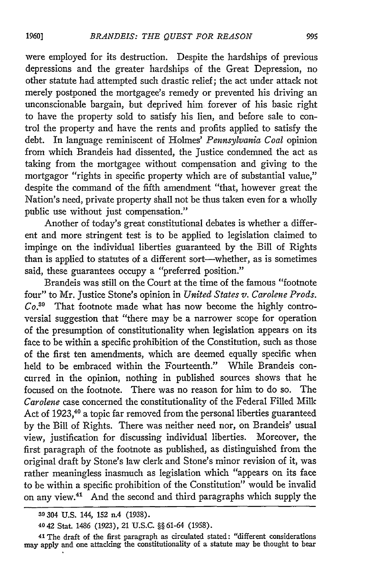were employed for its destruction. Despite the hardships of previous depressions and the greater hardships of the Great Depression, no other statute had attempted such drastic relief; the act under attack not merely postponed the mortgagee's remedy or prevented his driving an unconscionable bargain, but deprived him forever of his basic right to have the property sold to satisfy his lien, and before sale to control the property and have the rents and profits applied to satisfy the debt. In language reminiscent of Holmes' *Pennsylvania Coal* opinion from which Brandeis had dissented, the Justice condemned the act as taking from the mortgagee without compensation and giving to the mortgagor "rights in specific property which are of substantial value," despite the command of the fifth amendment "that, however great the Nation's need, private property shall not be thus taken even for a wholly public use without just compensation."

Another of today's great constitutional debates is whether a different and more stringent test is to be applied to legislation claimed to impinge on the individual liberties guaranteed **by** the Bill of Rights than is applied to statutes of a different sort-whether, as is sometimes said, these guarantees occupy a "preferred position."

Brandeis was still on the Court at the time of the famous "footnote four" to Mr. Justice Stone's opinion in *United States v. Carolene Prods. Co.3 "* That footnote made what has now become the highly controversial suggestion that "there may be a narrower scope for operation of the presumption of constitutionality when legislation appears on its face to be within a specific prohibition of the Constitution, such as those of the first ten amendments, which are deemed equally specific when held to be embraced within the Fourteenth." While Brandeis concurred in the opinion, nothing in published sources shows that he focused on the footnote. There was no reason for him to do so. The *Carolene* case concerned the constitutionality of the Federal Filled Milk Act of 1923,<sup>40</sup> a topic far removed from the personal liberties guaranteed **by** the Bill of Rights. There was neither need nor, on Brandeis' usual view, justification for discussing individual liberties. Moreover, the first paragraph of the footnote as published, as distinguished from the original draft **by** Stone's law clerk and Stone's minor revision of it, was rather meaningless inasmuch as legislation which "appears on its face to be within a specific prohibition of the Constitution" would be invalid on any view.41 And the second and third paragraphs which supply the

**<sup>39</sup>** 304 **U.S.** 144, 152 **n.4** (1938).

<sup>4042</sup> Stat. 1486 (1923), 21 **U.S.C.** §§ 61-64 (1958).

**<sup>41</sup> The** draft of the first paragraph as circulated stated: "different considerations may apply and one attacking the constitutionality of a statute may be thought to bear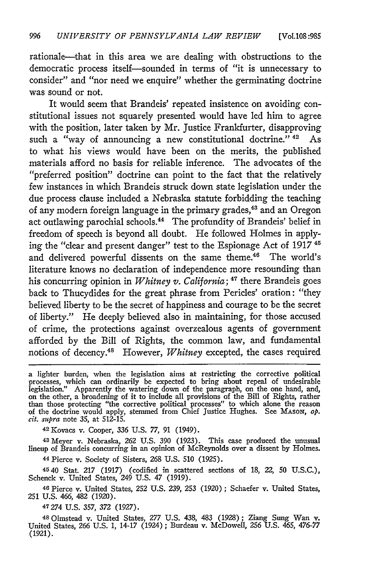rationale-that in this area we are dealing with obstructions to the democratic process itself-sounded in terms of "it is unnecessary to consider" and "nor need we enquire" whether the germinating doctrine was sound or not.

It would seem that Brandeis' repeated insistence on avoiding constitutional issues not squarely presented would have led him to agree with the position, later taken by Mr. Justice Frankfurter, disapproving such a "way of announcing a new constitutional doctrine." **42** As to what his views would have been on the merits, the published materials afford no basis for reliable inference. The advocates of the "preferred position" doctrine can point to the fact that the relatively few instances in which Brandeis struck down state legislation under the due process clause included a Nebraska statute forbidding the teaching of any modern foreign language in the primary grades,<sup>43</sup> and an Oregon act outlawing parochial schools.<sup>44</sup> The profundity of Brandeis' belief in freedom of speech is beyond all doubt. He followed Holmes in applying the "clear and present danger" test to the Espionage Act of 1917 45 and delivered powerful dissents on the same theme.<sup>46</sup> The world's literature knows no declaration of independence more resounding than his concurring opinion in *Whitney v. California;* 47 there Brandeis goes back to Thucydides for the great phrase from Pericles' oration: "they believed liberty to be the secret of happiness and courage to be the secret of liberty." He deeply believed also in maintaining, for those accused of crime, the protections against overzealous agents of government afforded by the Bill of Rights, the common law, and fundamental notions of decency.<sup>48</sup> However, *Whitney* excepted, the cases required

**<sup>42</sup>**Kovacs v. Cooper, 336 U.S. 77, 91 (1949).

**43** Meyer v. Nebraska, 262 U.S. 390 (1923). This case produced the unusual lineup of Brandeis concurring in an opinion of McReynolds over a dissent by Holmes.

44 Pierce v. Society of Sisters, 268 U.S. 510 (1925).

4540 Stat. 217 (1917) (codified in scattered sections of 18, 22, 50 U.S.C.), Schenck v. United States, 249 U.S. 47 (1919).

**46** Pierce v. United States, 252 U.S. 239, 253 (1920) ; Schaefer v. United States, 251 U.S. 466, 482 (1920).

47274 U.S. 357, 372 (1927).

48 Olmstead v. United States, 277 U.S. 438, 483 (1928); Ziang Sung Wan v. United States, 266 U.S. 1, 14-17 (1924) ; Burdeau v. McDowell, 256 U.S. 465, *476-77* (1921).

a lighter burden, when the legislation aims at restricting the corrective political<br>processes, which can ordinarily be expected to bring about repeal of undesirable<br>legislation." Apparently the watering down of the paragra on the other, a broadening of it to include all provisions of the Bill of Rights, rather than those protecting "the corrective political processes" to which alone the reason of the doctrine would apply, stemmed from Chief Justice Hughes. See MASON, *op. cit. supra* note 35, at 512-15.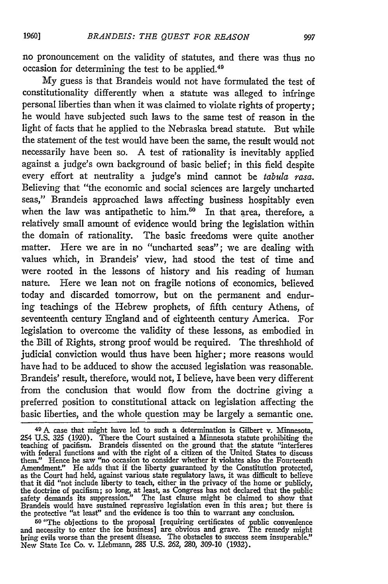no pronouncement on the validity of statutes, and there was thus no occasion for determining the test to be applied.<sup>49</sup>

My guess is that Brandeis would not have formulated the test of constitutionality differently when a statute was alleged to infringe personal liberties than when it was claimed to violate rights of property; he would have subjected such laws to the same test of reason in the light of facts that he applied to the Nebraska bread statute. But while the statement of the test would have been the same, the result would not necessarily have been so. A test of rationality is inevitably applied against a judge's own background of basic belief; in this field despite every effort at neutrality a judge's mind cannot be *tabula rasa.* Believing that "the economic and social sciences are largely uncharted seas," Brandeis approached laws affecting business hospitably even when the law was antipathetic to him.<sup>50</sup> In that area, therefore, a relatively small amount of evidence would bring the legislation within the domain of rationality. The basic freedoms were quite another matter. Here we are in no "uncharted seas"; we are dealing with values which, in Brandeis' view, had stood the test of time and were rooted in the lessons of history and his reading of human nature. Here we lean not on fragile notions of economics, believed today and discarded tomorrow, but on the permanent and enduring teachings of the Hebrew prophets, of fifth century Athens, of seventeenth century England and of eighteenth century America. For legislation to overcome the validity of these lessons, as embodied in the Bill of Rights, strong proof would be required. The threshhold of judicial conviction would thus have been higher; more reasons would have had to be adduced to show the accused legislation was reasonable. Brandeis' result, therefore, would not, I believe, have been very different from the conclusion that would flow from the doctrine giving a preferred position to constitutional attack on legislation affecting the basic liberties, and the whole question may be largely a semantic one.

50 "The objections to the proposal [requiring certificates of public convenience and necessity to enter the ice business] are obvious and grave. The remedy might bring evils worse than the present disease. The obstacles to success seem insuperable." New State Ice Co. v. Liebmann, 285 U.S. 262, 280, 309-10 (1932).

<sup>49</sup>**A** case that might have led to such a determination is Gilbert v. Minnesota, 254 U.S. 325 (1920). There the Court sustained a Minnesota statute prohibiting the teaching of pacifism. Brandeis dissented on the ground that the statute "interferes with federal functions and with the right of a citizen of the United States to discuss them." Hence he saw "no occasion to consider whether it violates also the Fourteenth Amendment." He adds that if the liberty guaranteed by the Constitution protected, as the Court had held, against various state regulatory laws, it was difficult to believe that it did "not include liberty to teach, either in the privacy of the home or publicly, the doctrine of pacifism; so long, at least, as Congress has not declared that the public safety demands its suppression." The last clause might be claimed to show that<br>Brandeis would have sustained repressive legislation even in this area; but there is<br>the protective "at least" and the evidence is too thin to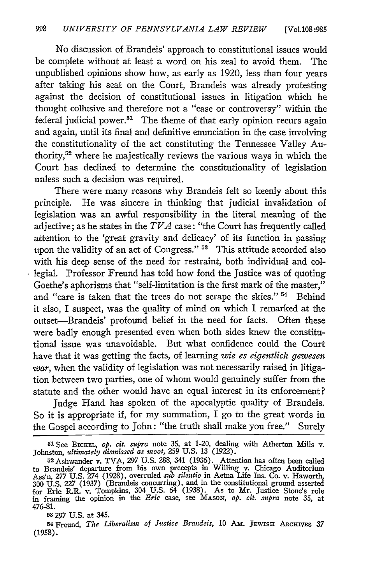No discussion of Brandeis' approach to constitutional issues would be complete without at least a word on his zeal to avoid them. The unpublished opinions show how, as early as 1920, less than four years after taking his seat on the Court, Brandeis was already protesting against the decision of constitutional issues in litigation which he thought collusive and therefore not a "case or controversy" within the federal judicial power.<sup>51</sup> The theme of that early opinion recurs again and again, until its final and definitive enunciation in the case involving the constitutionality of the act constituting the Tennessee Valley Authority,52 where he majestically reviews the various ways in which the Court has declined to determine the constitutionality of legislation unless such a decision was required.

There were many reasons why Brandeis felt so keenly about this principle. He was sincere in thinking that judicial invalidation of legislation was an awful responsibility in the literal meaning of the adjective; as he states in the *TTA* case: "the Court has frequently called attention to the 'great gravity and delicacy' of its function in passing upon the validity of an act of Congress." **53** This attitude accorded also with his deep sense of the need for restraint, both individual and collegial. Professor Freund has told how fond the Justice was of quoting Goethe's aphorisms that "self-limitation is the first mark of the master," and "care is taken that the trees do not scrape the skies."  $54$  Behind it also, I suspect, was the quality of mind on which I remarked at the outset-Brandeis' profound belief in the need for facts. Often these were badly enough presented even when both sides knew the constitutional issue was unavoidable. But what confidence could the Court have that it was getting the facts, of learning *wie es eigentlich gewesen war,* when the validity of legislation was not necessarily raised in litigation between two parties, one of whom would genuinely suffer from the statute and the other would have an equal interest in its enforcement?

Judge Hand has spoken of the apocalyptic quality of Brandeis. So it is appropriate if, for my summation, I go to the great words in the Gospel according to John: "the truth shall make you free." Surely

<sup>&</sup>lt;sup>51</sup> See BICKEL, *op. cit. supra* note 35, at 1-20, dealing with Atherton Mills v. Johnston, *ultimately dismissed as moot*, 259 U.S. 13 (1922). Johnston, *ultimately disnissed as moot,* **259 U.S. 13** (1922). **<sup>5</sup> <sup>2</sup>**Ashwander v. TVA, **297** U.S. 288, 341 (1936). Attention has often been called

to Brandeis' departure from his own precepts in Willing v. Chicago Auditorium Ass'n, **277** U.S. 274 (1928), overruled *sub silentio* in Aetna Life Ins. Co. v. Haworth, 300 U.S. 227 (1937) (Brandeis concurring), and in the constitutional ground asserted<br>for Erie R.R. v. Tompkins, 304 U.S. 64 (1938). As to Mr. Justice Stone's role<br>in framing the opinion in the *Erie* case, see MASON, *op.* 476-81.

**<sup>53</sup>***297* U.S. at 345.

<sup>54</sup> Freund, *The Liberalism of Justice Brandeis,* 10 **Am. JEwiSii ARcHvES** 37 (1958).